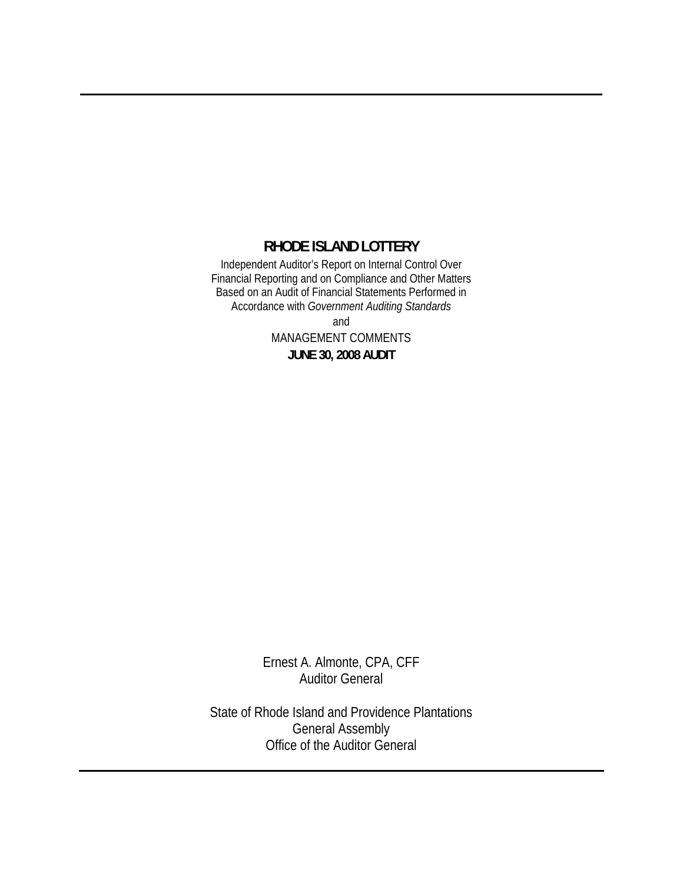## **RHODE ISLAND LOTTERY**

Independent Auditor's Report on Internal Control Over Financial Reporting and on Compliance and Other Matters Based on an Audit of Financial Statements Performed in Accordance with *Government Auditing Standards*

and

MANAGEMENT COMMENTS **JUNE 30, 2008 AUDIT** 

Ernest A. Almonte, CPA, CFF Auditor General

State of Rhode Island and Providence Plantations General Assembly Office of the Auditor General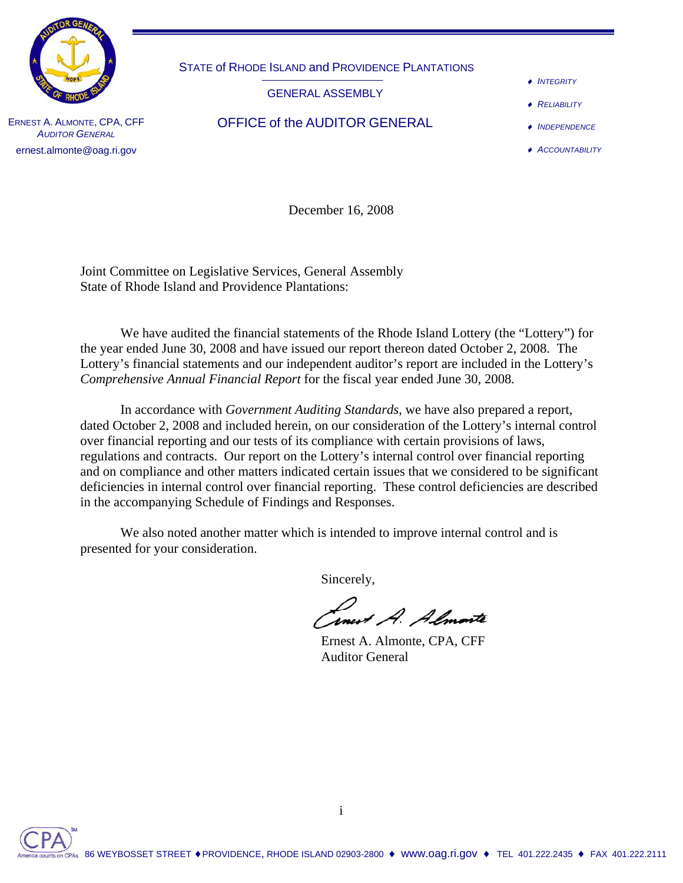

STATE of RHODE ISLAND and PROVIDENCE PLANTATIONS

GENERAL ASSEMBLY

♦ *INTEGRITY*

♦ *RELIABILITY*

- ♦ *INDEPENDENCE*
- ♦ *ACCOUNTABILITY*

ERNEST A. ALMONTE, CPA, CFF **AUDITOR GENERAL** ernest.almonte@oag.ri.gov

OFFICE of the AUDITOR GENERAL

December 16, 2008

Joint Committee on Legislative Services, General Assembly State of Rhode Island and Providence Plantations:

 We have audited the financial statements of the Rhode Island Lottery (the "Lottery") for the year ended June 30, 2008 and have issued our report thereon dated October 2, 2008. The Lottery's financial statements and our independent auditor's report are included in the Lottery's *Comprehensive Annual Financial Report* for the fiscal year ended June 30, 2008*.* 

In accordance with *Government Auditing Standards*, we have also prepared a report, dated October 2, 2008 and included herein, on our consideration of the Lottery's internal control over financial reporting and our tests of its compliance with certain provisions of laws, regulations and contracts. Our report on the Lottery's internal control over financial reporting and on compliance and other matters indicated certain issues that we considered to be significant deficiencies in internal control over financial reporting. These control deficiencies are described in the accompanying Schedule of Findings and Responses.

 We also noted another matter which is intended to improve internal control and is presented for your consideration.

Sincerely,

*Concert A. Almonte*<br>Ernest A. Almonte, CPA, CFF

Auditor General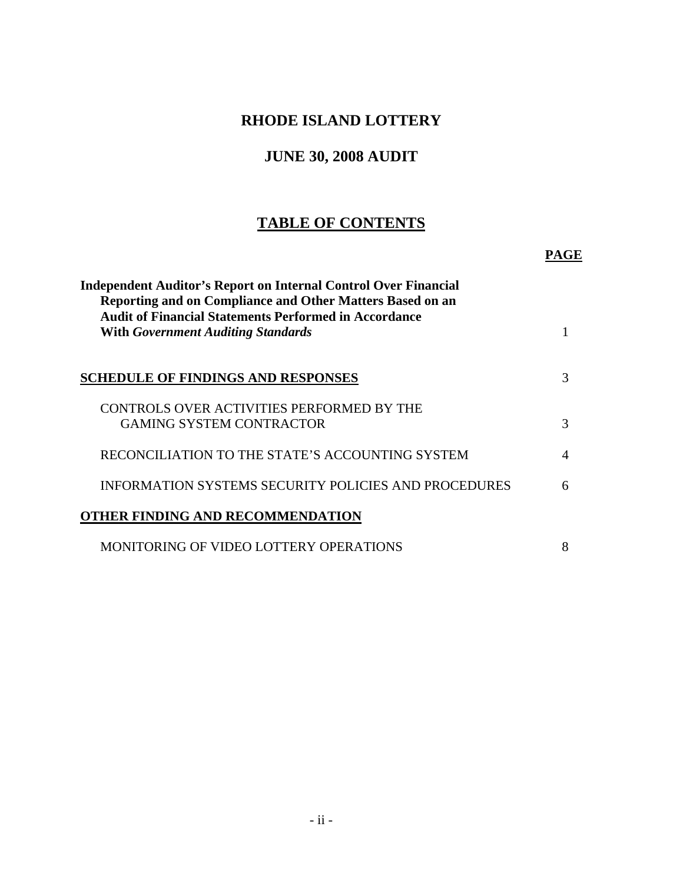# **RHODE ISLAND LOTTERY**

# **JUNE 30, 2008 AUDIT**

# **TABLE OF CONTENTS**

 **PAGE**

| <b>Independent Auditor's Report on Internal Control Over Financial</b><br>Reporting and on Compliance and Other Matters Based on an<br><b>Audit of Financial Statements Performed in Accordance</b><br><b>With Government Auditing Standards</b> |          |
|--------------------------------------------------------------------------------------------------------------------------------------------------------------------------------------------------------------------------------------------------|----------|
| <b>SCHEDULE OF FINDINGS AND RESPONSES</b>                                                                                                                                                                                                        | 3        |
| CONTROLS OVER ACTIVITIES PERFORMED BY THE<br><b>GAMING SYSTEM CONTRACTOR</b>                                                                                                                                                                     | 3        |
| RECONCILIATION TO THE STATE'S ACCOUNTING SYSTEM                                                                                                                                                                                                  | $\Delta$ |
| INFORMATION SYSTEMS SECURITY POLICIES AND PROCEDURES                                                                                                                                                                                             | 6        |
| THER FINDING AND RECOMMENDATION                                                                                                                                                                                                                  |          |
| MONITORING OF VIDEO LOTTERY OPERATIONS                                                                                                                                                                                                           | 8        |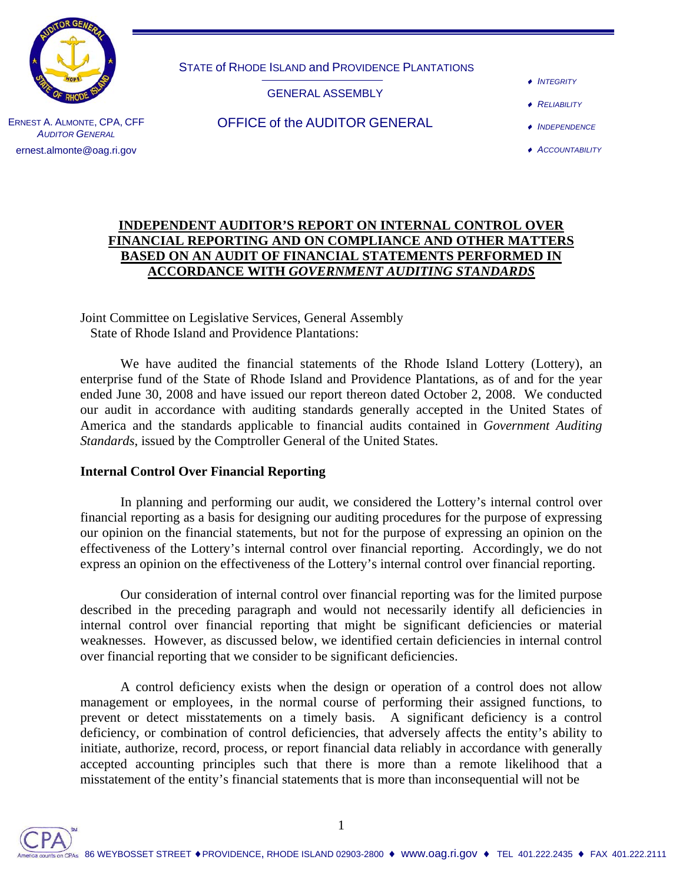

STATE of RHODE ISLAND and PROVIDENCE PLANTATIONS

GENERAL ASSEMBLY

♦ *INTEGRITY*

♦ *RELIABILITY*

- ♦ *INDEPENDENCE*
- ♦ *ACCOUNTABILITY*

#### ERNEST A. ALMONTE, CPA, CFF **AUDITOR GENERAL** ernest.almonte@oag.ri.gov

OFFICE of the AUDITOR GENERAL

## **INDEPENDENT AUDITOR'S REPORT ON INTERNAL CONTROL OVER FINANCIAL REPORTING AND ON COMPLIANCE AND OTHER MATTERS BASED ON AN AUDIT OF FINANCIAL STATEMENTS PERFORMED IN ACCORDANCE WITH** *GOVERNMENT AUDITING STANDARDS*

Joint Committee on Legislative Services, General Assembly State of Rhode Island and Providence Plantations:

 We have audited the financial statements of the Rhode Island Lottery (Lottery), an enterprise fund of the State of Rhode Island and Providence Plantations, as of and for the year ended June 30, 2008 and have issued our report thereon dated October 2, 2008. We conducted our audit in accordance with auditing standards generally accepted in the United States of America and the standards applicable to financial audits contained in *Government Auditing Standards*, issued by the Comptroller General of the United States.

## **Internal Control Over Financial Reporting**

 In planning and performing our audit, we considered the Lottery's internal control over financial reporting as a basis for designing our auditing procedures for the purpose of expressing our opinion on the financial statements, but not for the purpose of expressing an opinion on the effectiveness of the Lottery's internal control over financial reporting. Accordingly, we do not express an opinion on the effectiveness of the Lottery's internal control over financial reporting.

 Our consideration of internal control over financial reporting was for the limited purpose described in the preceding paragraph and would not necessarily identify all deficiencies in internal control over financial reporting that might be significant deficiencies or material weaknesses. However, as discussed below, we identified certain deficiencies in internal control over financial reporting that we consider to be significant deficiencies.

 A control deficiency exists when the design or operation of a control does not allow management or employees, in the normal course of performing their assigned functions, to prevent or detect misstatements on a timely basis. A significant deficiency is a control deficiency, or combination of control deficiencies, that adversely affects the entity's ability to initiate, authorize, record, process, or report financial data reliably in accordance with generally accepted accounting principles such that there is more than a remote likelihood that a misstatement of the entity's financial statements that is more than inconsequential will not be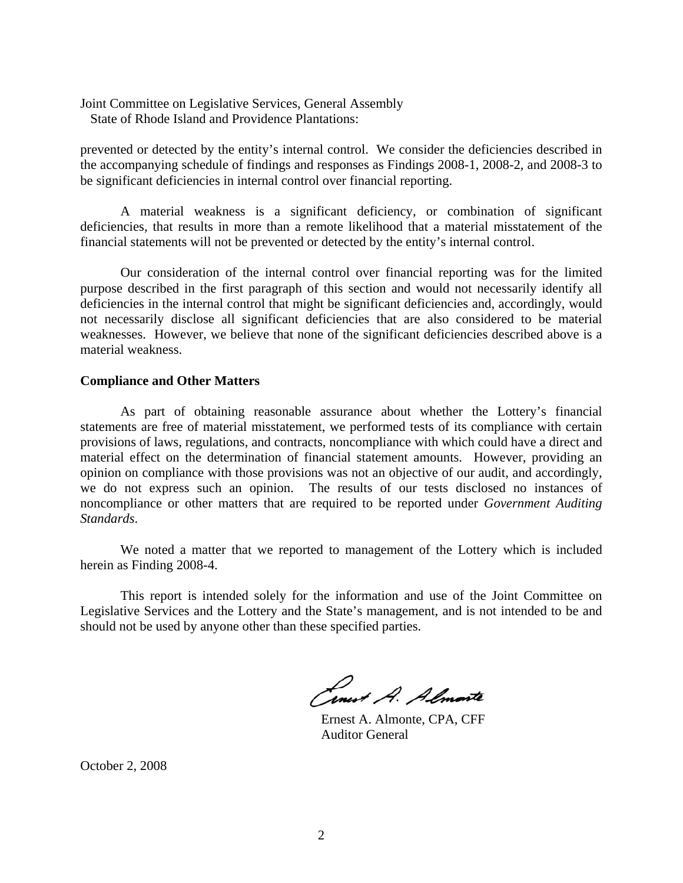Joint Committee on Legislative Services, General Assembly State of Rhode Island and Providence Plantations:

prevented or detected by the entity's internal control. We consider the deficiencies described in the accompanying schedule of findings and responses as Findings 2008-1, 2008-2, and 2008-3 to be significant deficiencies in internal control over financial reporting.

 A material weakness is a significant deficiency, or combination of significant deficiencies, that results in more than a remote likelihood that a material misstatement of the financial statements will not be prevented or detected by the entity's internal control.

 Our consideration of the internal control over financial reporting was for the limited purpose described in the first paragraph of this section and would not necessarily identify all deficiencies in the internal control that might be significant deficiencies and, accordingly, would not necessarily disclose all significant deficiencies that are also considered to be material weaknesses. However, we believe that none of the significant deficiencies described above is a material weakness.

#### **Compliance and Other Matters**

 As part of obtaining reasonable assurance about whether the Lottery's financial statements are free of material misstatement, we performed tests of its compliance with certain provisions of laws, regulations, and contracts, noncompliance with which could have a direct and material effect on the determination of financial statement amounts. However, providing an opinion on compliance with those provisions was not an objective of our audit, and accordingly, we do not express such an opinion. The results of our tests disclosed no instances of noncompliance or other matters that are required to be reported under *Government Auditing Standards*.

 We noted a matter that we reported to management of the Lottery which is included herein as Finding 2008-4.

 This report is intended solely for the information and use of the Joint Committee on Legislative Services and the Lottery and the State's management, and is not intended to be and should not be used by anyone other than these specified parties.

Ernest A. Almonte, CPA, CFF

Auditor General

October 2, 2008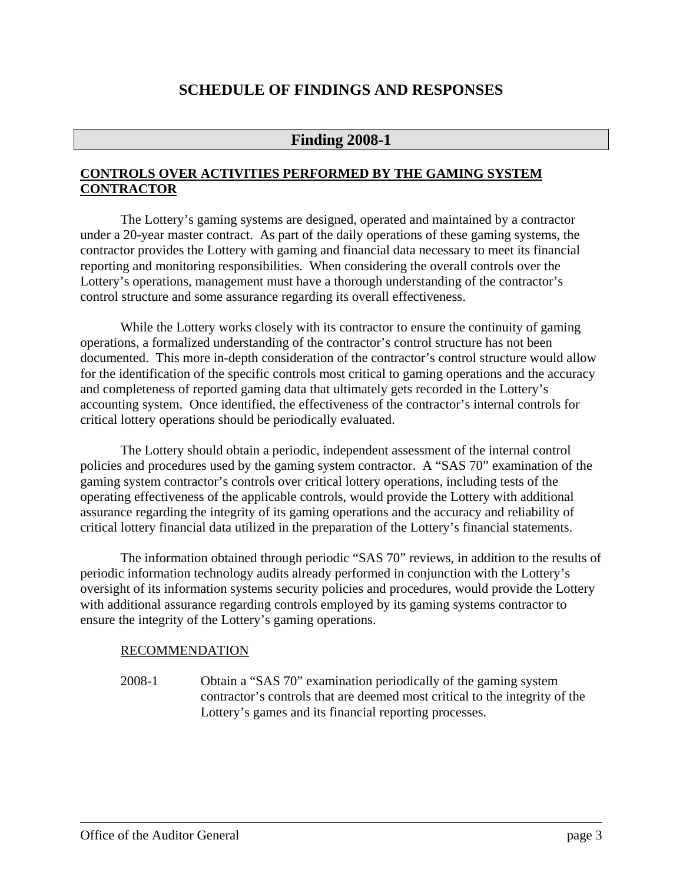## **SCHEDULE OF FINDINGS AND RESPONSES**

## **Finding 2008-1**

## **CONTROLS OVER ACTIVITIES PERFORMED BY THE GAMING SYSTEM CONTRACTOR**

The Lottery's gaming systems are designed, operated and maintained by a contractor under a 20-year master contract. As part of the daily operations of these gaming systems, the contractor provides the Lottery with gaming and financial data necessary to meet its financial reporting and monitoring responsibilities. When considering the overall controls over the Lottery's operations, management must have a thorough understanding of the contractor's control structure and some assurance regarding its overall effectiveness.

While the Lottery works closely with its contractor to ensure the continuity of gaming operations, a formalized understanding of the contractor's control structure has not been documented. This more in-depth consideration of the contractor's control structure would allow for the identification of the specific controls most critical to gaming operations and the accuracy and completeness of reported gaming data that ultimately gets recorded in the Lottery's accounting system. Once identified, the effectiveness of the contractor's internal controls for critical lottery operations should be periodically evaluated.

The Lottery should obtain a periodic, independent assessment of the internal control policies and procedures used by the gaming system contractor. A "SAS 70" examination of the gaming system contractor's controls over critical lottery operations, including tests of the operating effectiveness of the applicable controls, would provide the Lottery with additional assurance regarding the integrity of its gaming operations and the accuracy and reliability of critical lottery financial data utilized in the preparation of the Lottery's financial statements.

The information obtained through periodic "SAS 70" reviews, in addition to the results of periodic information technology audits already performed in conjunction with the Lottery's oversight of its information systems security policies and procedures, would provide the Lottery with additional assurance regarding controls employed by its gaming systems contractor to ensure the integrity of the Lottery's gaming operations.

### RECOMMENDATION

2008-1 Obtain a "SAS 70" examination periodically of the gaming system contractor's controls that are deemed most critical to the integrity of the Lottery's games and its financial reporting processes.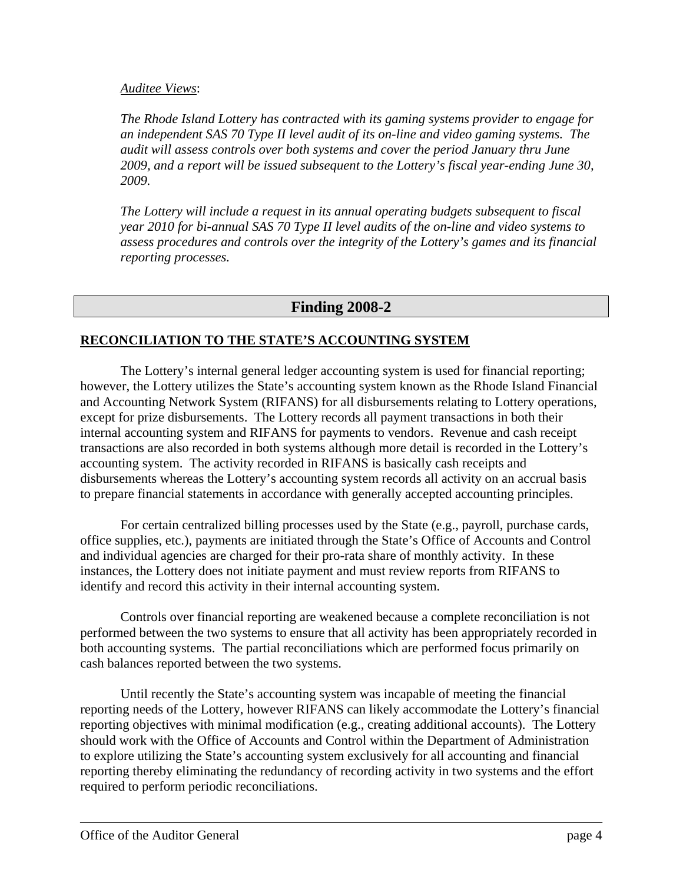## *Auditee Views*:

*The Rhode Island Lottery has contracted with its gaming systems provider to engage for an independent SAS 70 Type II level audit of its on-line and video gaming systems. The audit will assess controls over both systems and cover the period January thru June 2009, and a report will be issued subsequent to the Lottery's fiscal year-ending June 30, 2009.* 

*The Lottery will include a request in its annual operating budgets subsequent to fiscal year 2010 for bi-annual SAS 70 Type II level audits of the on-line and video systems to assess procedures and controls over the integrity of the Lottery's games and its financial reporting processes.* 

## **Finding 2008-2**

## **RECONCILIATION TO THE STATE'S ACCOUNTING SYSTEM**

The Lottery's internal general ledger accounting system is used for financial reporting; however, the Lottery utilizes the State's accounting system known as the Rhode Island Financial and Accounting Network System (RIFANS) for all disbursements relating to Lottery operations, except for prize disbursements. The Lottery records all payment transactions in both their internal accounting system and RIFANS for payments to vendors. Revenue and cash receipt transactions are also recorded in both systems although more detail is recorded in the Lottery's accounting system. The activity recorded in RIFANS is basically cash receipts and disbursements whereas the Lottery's accounting system records all activity on an accrual basis to prepare financial statements in accordance with generally accepted accounting principles.

For certain centralized billing processes used by the State (e.g., payroll, purchase cards, office supplies, etc.), payments are initiated through the State's Office of Accounts and Control and individual agencies are charged for their pro-rata share of monthly activity. In these instances, the Lottery does not initiate payment and must review reports from RIFANS to identify and record this activity in their internal accounting system.

Controls over financial reporting are weakened because a complete reconciliation is not performed between the two systems to ensure that all activity has been appropriately recorded in both accounting systems. The partial reconciliations which are performed focus primarily on cash balances reported between the two systems.

Until recently the State's accounting system was incapable of meeting the financial reporting needs of the Lottery, however RIFANS can likely accommodate the Lottery's financial reporting objectives with minimal modification (e.g., creating additional accounts). The Lottery should work with the Office of Accounts and Control within the Department of Administration to explore utilizing the State's accounting system exclusively for all accounting and financial reporting thereby eliminating the redundancy of recording activity in two systems and the effort required to perform periodic reconciliations.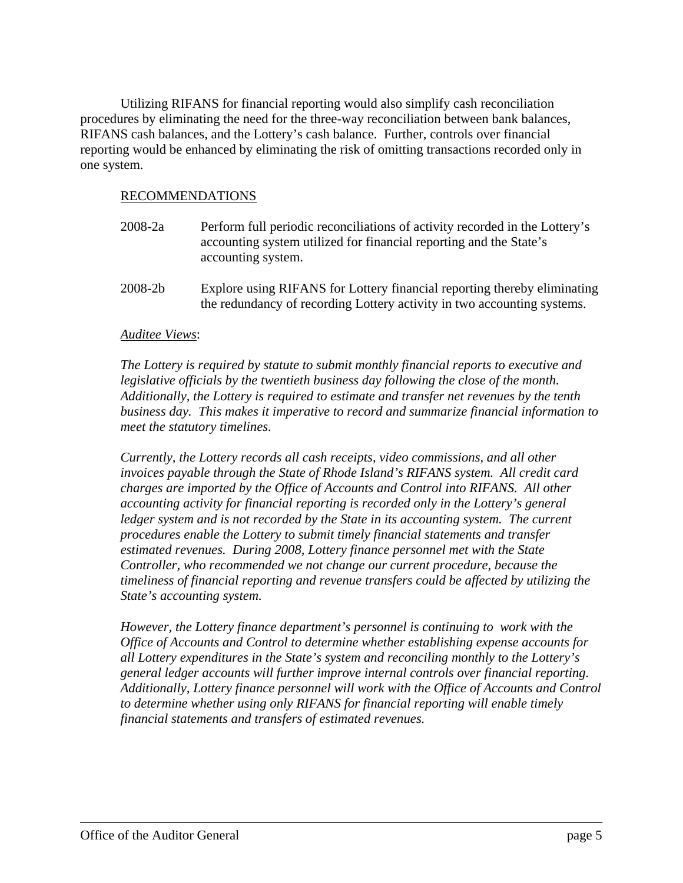Utilizing RIFANS for financial reporting would also simplify cash reconciliation procedures by eliminating the need for the three-way reconciliation between bank balances, RIFANS cash balances, and the Lottery's cash balance. Further, controls over financial reporting would be enhanced by eliminating the risk of omitting transactions recorded only in one system.

## RECOMMENDATIONS

- 2008-2a Perform full periodic reconciliations of activity recorded in the Lottery's accounting system utilized for financial reporting and the State's accounting system.
- 2008-2b Explore using RIFANS for Lottery financial reporting thereby eliminating the redundancy of recording Lottery activity in two accounting systems.

### *Auditee Views*:

*The Lottery is required by statute to submit monthly financial reports to executive and legislative officials by the twentieth business day following the close of the month. Additionally, the Lottery is required to estimate and transfer net revenues by the tenth business day. This makes it imperative to record and summarize financial information to meet the statutory timelines.* 

*Currently, the Lottery records all cash receipts, video commissions, and all other invoices payable through the State of Rhode Island's RIFANS system. All credit card charges are imported by the Office of Accounts and Control into RIFANS. All other accounting activity for financial reporting is recorded only in the Lottery's general ledger system and is not recorded by the State in its accounting system. The current procedures enable the Lottery to submit timely financial statements and transfer estimated revenues. During 2008, Lottery finance personnel met with the State Controller, who recommended we not change our current procedure, because the timeliness of financial reporting and revenue transfers could be affected by utilizing the State's accounting system.* 

*However, the Lottery finance department's personnel is continuing to work with the Office of Accounts and Control to determine whether establishing expense accounts for all Lottery expenditures in the State's system and reconciling monthly to the Lottery's general ledger accounts will further improve internal controls over financial reporting. Additionally, Lottery finance personnel will work with the Office of Accounts and Control to determine whether using only RIFANS for financial reporting will enable timely financial statements and transfers of estimated revenues.*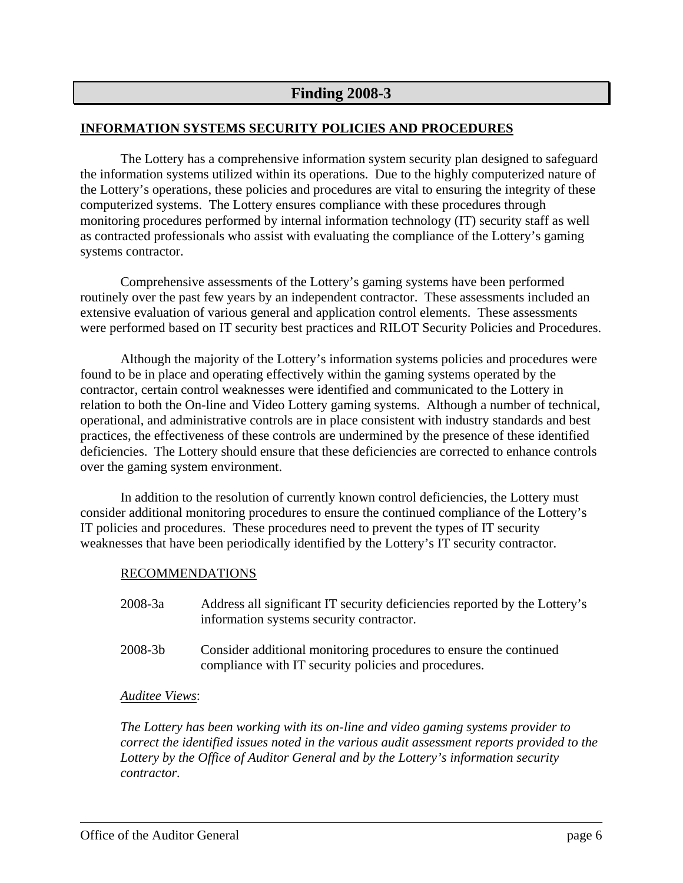## **Finding 2008-3**

## **INFORMATION SYSTEMS SECURITY POLICIES AND PROCEDURES**

The Lottery has a comprehensive information system security plan designed to safeguard the information systems utilized within its operations. Due to the highly computerized nature of the Lottery's operations, these policies and procedures are vital to ensuring the integrity of these computerized systems. The Lottery ensures compliance with these procedures through monitoring procedures performed by internal information technology (IT) security staff as well as contracted professionals who assist with evaluating the compliance of the Lottery's gaming systems contractor.

 Comprehensive assessments of the Lottery's gaming systems have been performed routinely over the past few years by an independent contractor. These assessments included an extensive evaluation of various general and application control elements. These assessments were performed based on IT security best practices and RILOT Security Policies and Procedures.

Although the majority of the Lottery's information systems policies and procedures were found to be in place and operating effectively within the gaming systems operated by the contractor, certain control weaknesses were identified and communicated to the Lottery in relation to both the On-line and Video Lottery gaming systems. Although a number of technical, operational, and administrative controls are in place consistent with industry standards and best practices, the effectiveness of these controls are undermined by the presence of these identified deficiencies. The Lottery should ensure that these deficiencies are corrected to enhance controls over the gaming system environment.

 In addition to the resolution of currently known control deficiencies, the Lottery must consider additional monitoring procedures to ensure the continued compliance of the Lottery's IT policies and procedures. These procedures need to prevent the types of IT security weaknesses that have been periodically identified by the Lottery's IT security contractor.

### RECOMMENDATIONS

- 2008-3a Address all significant IT security deficiencies reported by the Lottery's information systems security contractor.
- 2008-3b Consider additional monitoring procedures to ensure the continued compliance with IT security policies and procedures.

### *Auditee Views*:

*The Lottery has been working with its on-line and video gaming systems provider to correct the identified issues noted in the various audit assessment reports provided to the Lottery by the Office of Auditor General and by the Lottery's information security contractor.*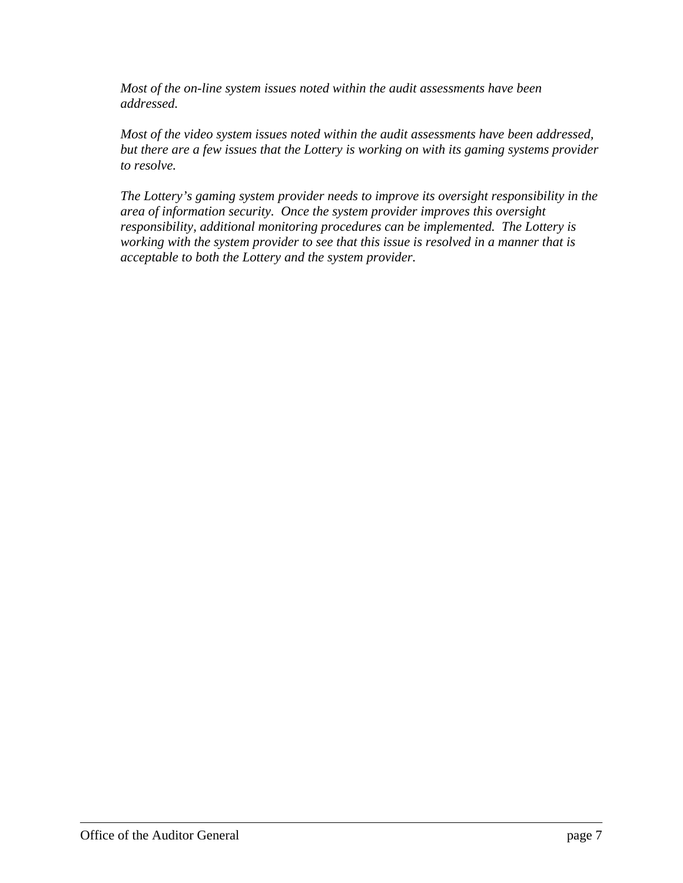*Most of the on-line system issues noted within the audit assessments have been addressed.* 

*Most of the video system issues noted within the audit assessments have been addressed, but there are a few issues that the Lottery is working on with its gaming systems provider to resolve.* 

*The Lottery's gaming system provider needs to improve its oversight responsibility in the area of information security. Once the system provider improves this oversight responsibility, additional monitoring procedures can be implemented. The Lottery is working with the system provider to see that this issue is resolved in a manner that is acceptable to both the Lottery and the system provider.*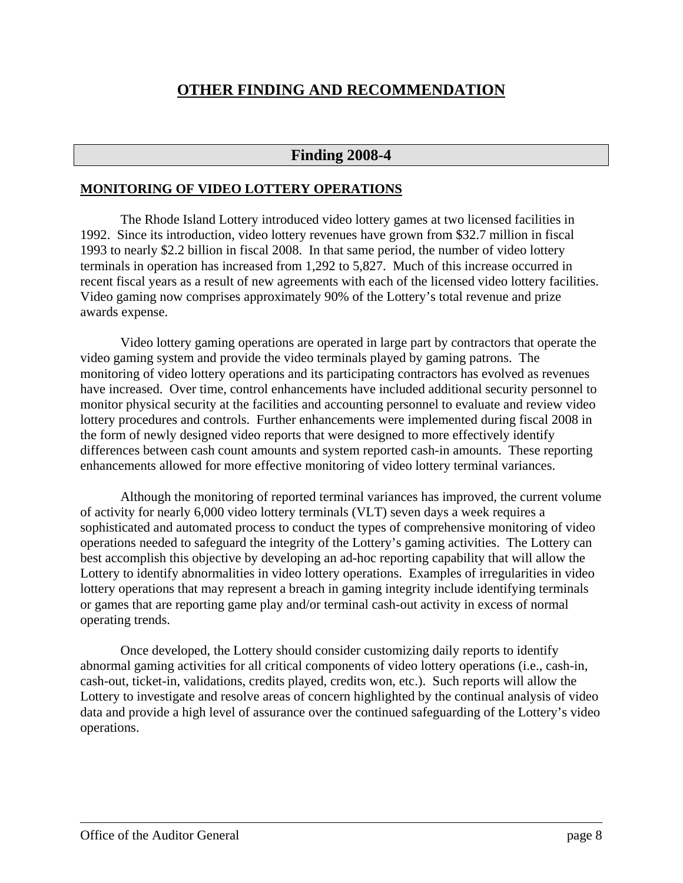## **OTHER FINDING AND RECOMMENDATION**

## **Finding 2008-4**

#### **MONITORING OF VIDEO LOTTERY OPERATIONS**

The Rhode Island Lottery introduced video lottery games at two licensed facilities in 1992. Since its introduction, video lottery revenues have grown from \$32.7 million in fiscal 1993 to nearly \$2.2 billion in fiscal 2008. In that same period, the number of video lottery terminals in operation has increased from 1,292 to 5,827. Much of this increase occurred in recent fiscal years as a result of new agreements with each of the licensed video lottery facilities. Video gaming now comprises approximately 90% of the Lottery's total revenue and prize awards expense.

Video lottery gaming operations are operated in large part by contractors that operate the video gaming system and provide the video terminals played by gaming patrons. The monitoring of video lottery operations and its participating contractors has evolved as revenues have increased. Over time, control enhancements have included additional security personnel to monitor physical security at the facilities and accounting personnel to evaluate and review video lottery procedures and controls. Further enhancements were implemented during fiscal 2008 in the form of newly designed video reports that were designed to more effectively identify differences between cash count amounts and system reported cash-in amounts. These reporting enhancements allowed for more effective monitoring of video lottery terminal variances.

Although the monitoring of reported terminal variances has improved, the current volume of activity for nearly 6,000 video lottery terminals (VLT) seven days a week requires a sophisticated and automated process to conduct the types of comprehensive monitoring of video operations needed to safeguard the integrity of the Lottery's gaming activities. The Lottery can best accomplish this objective by developing an ad-hoc reporting capability that will allow the Lottery to identify abnormalities in video lottery operations. Examples of irregularities in video lottery operations that may represent a breach in gaming integrity include identifying terminals or games that are reporting game play and/or terminal cash-out activity in excess of normal operating trends.

Once developed, the Lottery should consider customizing daily reports to identify abnormal gaming activities for all critical components of video lottery operations (i.e., cash-in, cash-out, ticket-in, validations, credits played, credits won, etc.). Such reports will allow the Lottery to investigate and resolve areas of concern highlighted by the continual analysis of video data and provide a high level of assurance over the continued safeguarding of the Lottery's video operations.